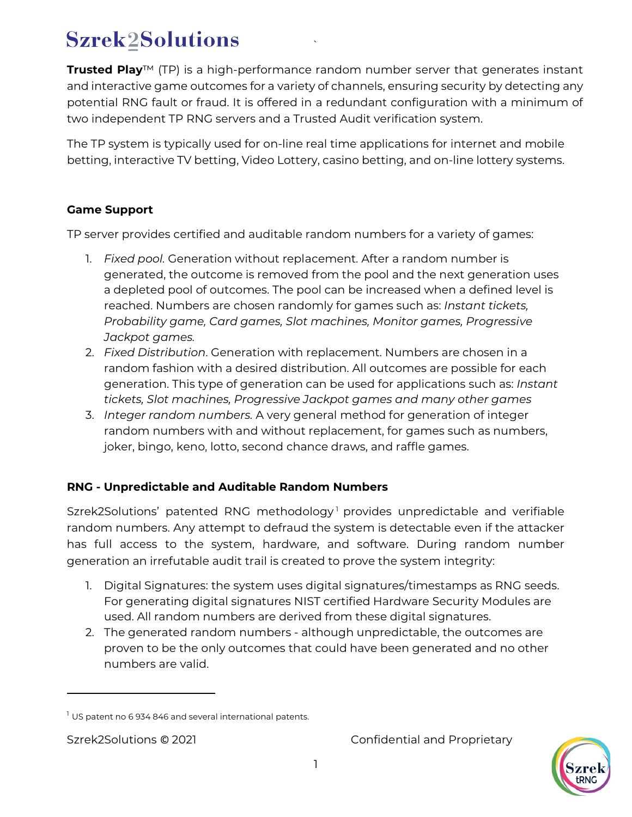# **Szrek2Solutions**

**Trusted Play**™ (TP) is a high-performance random number server that generates instant and interactive game outcomes for a variety of channels, ensuring security by detecting any potential RNG fault or fraud. It is offered in a redundant configuration with a minimum of two independent TP RNG servers and a Trusted Audit verification system.

`

The TP system is typically used for on-line real time applications for internet and mobile betting, interactive TV betting, Video Lottery, casino betting, and on-line lottery systems.

## **Game Support**

TP server provides certified and auditable random numbers for a variety of games:

- 1. *Fixed pool.* Generation without replacement. After a random number is generated, the outcome is removed from the pool and the next generation uses a depleted pool of outcomes. The pool can be increased when a defined level is reached. Numbers are chosen randomly for games such as: *Instant tickets, Probability game, Card games, Slot machines, Monitor games, Progressive Jackpot games.*
- 2. *Fixed Distribution*. Generation with replacement. Numbers are chosen in a random fashion with a desired distribution. All outcomes are possible for each generation. This type of generation can be used for applications such as: *Instant tickets, Slot machines, Progressive Jackpot games and many other games*
- 3. *Integer random numbers.* A very general method for generation of integer random numbers with and without replacement, for games such as numbers, joker, bingo, keno, lotto, second chance draws, and raffle games.

## **RNG - Unpredictable and Auditable Random Numbers**

Szrek2Solutions' patented RNG methodology<sup>[1](#page-0-0)</sup> provides unpredictable and verifiable random numbers. Any attempt to defraud the system is detectable even if the attacker has full access to the system, hardware, and software. During random number generation an irrefutable audit trail is created to prove the system integrity:

- 1. Digital Signatures: the system uses digital signatures/timestamps as RNG seeds. For generating digital signatures NIST certified Hardware Security Modules are used. All random numbers are derived from these digital signatures.
- 2. The generated random numbers although unpredictable, the outcomes are proven to be the only outcomes that could have been generated and no other numbers are valid.

Szrek2Solutions © 2021 **Confidential and Proprietary** 



<span id="page-0-0"></span> $1$  US patent no 6 934 846 and several international patents.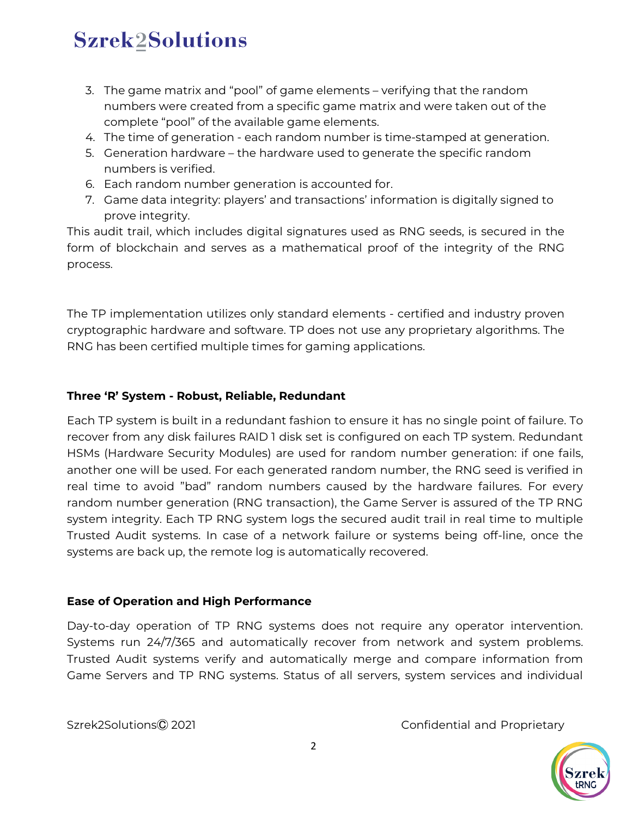## **Szrek2Solutions**

- 3. The game matrix and "pool" of game elements verifying that the random numbers were created from a specific game matrix and were taken out of the complete "pool" of the available game elements.
- 4. The time of generation each random number is time-stamped at generation.
- 5. Generation hardware the hardware used to generate the specific random numbers is verified.
- 6. Each random number generation is accounted for.
- 7. Game data integrity: players' and transactions' information is digitally signed to prove integrity.

This audit trail, which includes digital signatures used as RNG seeds, is secured in the form of blockchain and serves as a mathematical proof of the integrity of the RNG process.

The TP implementation utilizes only standard elements - certified and industry proven cryptographic hardware and software. TP does not use any proprietary algorithms. The RNG has been certified multiple times for gaming applications.

#### **Three 'R' System - Robust, Reliable, Redundant**

Each TP system is built in a redundant fashion to ensure it has no single point of failure. To recover from any disk failures RAID 1 disk set is configured on each TP system. Redundant HSMs (Hardware Security Modules) are used for random number generation: if one fails, another one will be used. For each generated random number, the RNG seed is verified in real time to avoid "bad" random numbers caused by the hardware failures. For every random number generation (RNG transaction), the Game Server is assured of the TP RNG system integrity. Each TP RNG system logs the secured audit trail in real time to multiple Trusted Audit systems. In case of a network failure or systems being off-line, once the systems are back up, the remote log is automatically recovered.

#### **Ease of Operation and High Performance**

Day-to-day operation of TP RNG systems does not require any operator intervention. Systems run 24/7/365 and automatically recover from network and system problems. Trusted Audit systems verify and automatically merge and compare information from Game Servers and TP RNG systems. Status of all servers, system services and individual